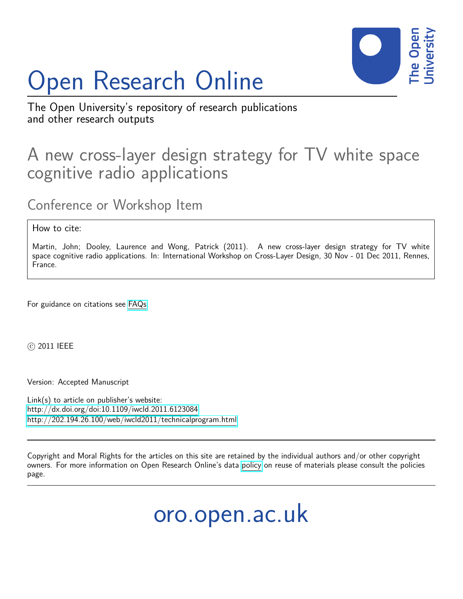

# Open Research Online

The Open University's repository of research publications and other research outputs

# A new cross-layer design strategy for TV white space cognitive radio applications

Conference or Workshop Item

How to cite:

Martin, John; Dooley, Laurence and Wong, Patrick (2011). A new cross-layer design strategy for TV white space cognitive radio applications. In: International Workshop on Cross-Layer Design, 30 Nov - 01 Dec 2011, Rennes, France.

For guidance on citations see [FAQs.](http://oro.open.ac.uk/help/helpfaq.html)

c 2011 IEEE

Version: Accepted Manuscript

Link(s) to article on publisher's website: <http://dx.doi.org/doi:10.1109/iwcld.2011.6123084> <http://202.194.26.100/web/iwcld2011/technicalprogram.html>

Copyright and Moral Rights for the articles on this site are retained by the individual authors and/or other copyright owners. For more information on Open Research Online's data [policy](http://oro.open.ac.uk/policies.html) on reuse of materials please consult the policies page.

oro.open.ac.uk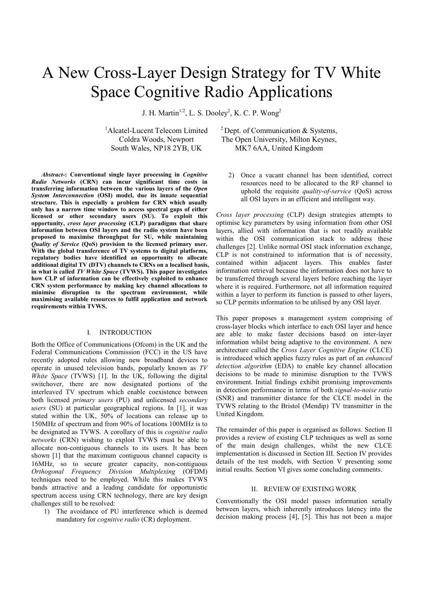# A New Cross-Layer Design Strategy for TV White Space Cognitive Radio Applications

J. H. Martin<sup>1/2</sup>, L. S. Dooley<sup>2</sup>, K. C. P. Wong<sup>2</sup>

<sup>1</sup>Alcatel-Lucent Telecom Limited Coldra Woods, Newport South Wales, NP18 2YB, UK

Abstract-: Conventional single layer processing in Cognitive Radio Networks (CRN) can incur significant time costs in transferring information between the various layers of the Open System Interconnection (OSI) model, due its innate sequential structure. This is especially a problem for CRN which usually only has a narrow time window to access spectral gaps of either licensed or other secondary users (SU). To exploit this opportunity, cross layer processing (CLP) paradigms that share information between OSI layers and the radio system have been proposed to maximise throughput for SU, while maintaining Quality of Service (QoS) provision to the licensed primary user. With the global transference of TV systems to digital platforms, regulatory bodies have identified an opportunity to allocate additional digital TV (DTV) channels to CRNs on a localised basis, in what is called  $TV$  White Space (TVWS). This paper investigates how CLP of information can be effectively exploited to enhance CRN system performance by making key channel allocations to minimise disruption to the spectrum environment, while maximising available resources to fulfil application and network requirements within TVWS.

## I. INTRODUCTION

Both the Office of Communications (Ofcom) in the UK and the Federal Communications Commission (FCC) in the US have recently adopted rules allowing new broadband devices to operate in unused television bands, popularly known as TV White Space (TVWS) [1]. In the UK, following the digital switchover, there are now designated portions of the interleaved TV spectrum which enable coexistence between both licensed primary users (PU) and unlicensed secondary users (SU) at particular geographical regions. In [1], it was stated within the UK, 50% of locations can release up to 150MHz of spectrum and from 90% of locations 100MHz is to be designated as TVWS. A corollary of this is cognitive radio networks (CRN) wishing to exploit TVWS must be able to allocate non-contiguous channels to its users. It has been shown [1] that the maximum contiguous channel capacity is 16MHz, so to secure greater capacity, non-contiguous Orthogonal Frequency Division Multiplexing (OFDM) techniques need to be employed. While this makes TVWS bands attractive and a leading candidate for opportunistic spectrum access using CRN technology, there are key design challenges still to be resolved:

1) The avoidance of PU interference which is deemed mandatory for cognitive radio (CR) deployment.

<sup>2</sup> Dept. of Communication & Systems, The Open University, Milton Keynes, MK7 6AA, United Kingdom

2) Once a vacant channel has been identified, correct resources need to be allocated to the RF channel to uphold the requisite quality-of-service (QoS) across all OSI layers in an efficient and intelligent way.

Cross layer processing (CLP) design strategies attempts to optimise key parameters by using information from other OSI layers, allied with information that is not readily available within the OSI communication stack to address these challenges [2]. Unlike normal OSI stack information exchange, CLP is not constrained to information that is of necessity, contained within adjacent layers. This enables faster information retrieval because the information does not have to be transferred through several layers before reaching the layer where it is required. Furthermore, not all information required within a layer to perform its function is passed to other layers, so CLP permits information to be utilised by any OSI layer.

This paper proposes a management system comprising of cross-layer blocks which interface to each OSI layer and hence are able to make faster decisions based on inter-layer information whilst being adaptive to the environment. A new architecture called the Cross Layer Cognitive Engine (CLCE) is introduced which applies fuzzy rules as part of an enhanced detection algorithm (EDA) to enable key channel allocation decisions to be made to minimise disruption to the TVWS environment. Initial findings exhibit promising improvements in detection performance in terms of both signal-to-noise ratio (SNR) and transmitter distance for the CLCE model in the TVWS relating to the Bristol (Mendip) TV transmitter in the United Kingdom.

The remainder of this paper is organised as follows. Section II provides a review of existing CLP techniques as well as some of the main design challenges, whilst the new CLCE implementation is discussed in Section III. Section IV provides details of the test models, with Section V presenting some initial results. Section VI gives some concluding comments.

#### II. REVIEW OF EXISTING WORK

Conventionally the OSI model passes information serially between layers, which inherently introduces latency into the decision making process [4], [5]. This has not been a major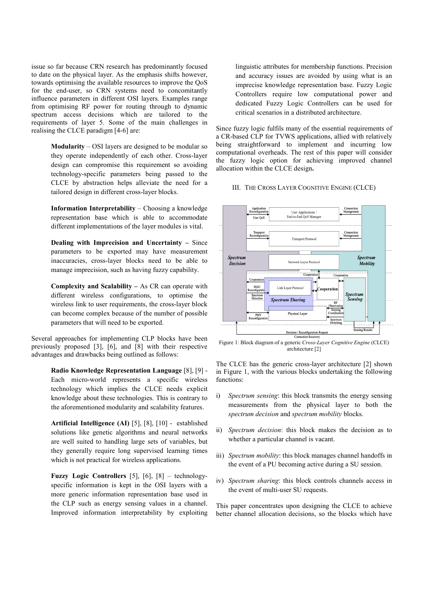issue so far because CRN research has predominantly focused to date on the physical layer. As the emphasis shifts however, towards optimising the available resources to improve the QoS for the end-user, so CRN systems need to concomitantly influence parameters in different OSI layers. Examples range from optimising RF power for routing through to dynamic spectrum access decisions which are tailored to the requirements of layer 5. Some of the main challenges in realising the CLCE paradigm [4-6] are:

> Modularity – OSI layers are designed to be modular so they operate independently of each other. Cross-layer design can compromise this requirement so avoiding technology-specific parameters being passed to the CLCE by abstraction helps alleviate the need for a tailored design in different cross-layer blocks.

> Information Interpretability – Choosing a knowledge representation base which is able to accommodate different implementations of the layer modules is vital.

> Dealing with Imprecision and Uncertainty – Since parameters to be exported may have measurement inaccuracies, cross-layer blocks need to be able to manage imprecision, such as having fuzzy capability.

> Complexity and Scalability – As CR can operate with different wireless configurations, to optimise the wireless link to user requirements, the cross-layer block can become complex because of the number of possible parameters that will need to be exported.

Several approaches for implementing CLP blocks have been previously proposed [3], [6], and [8] with their respective advantages and drawbacks being outlined as follows:

> Radio Knowledge Representation Language [8], [9] - Each micro-world represents a specific wireless technology which implies the CLCE needs explicit knowledge about these technologies. This is contrary to the aforementioned modularity and scalability features.

> Artificial Intelligence (AI) [5], [8], [10] - established solutions like genetic algorithms and neural networks are well suited to handling large sets of variables, but they generally require long supervised learning times which is not practical for wireless applications.

> Fuzzy Logic Controllers [5], [6], [8] – technologyspecific information is kept in the OSI layers with a more generic information representation base used in the CLP such as energy sensing values in a channel. Improved information interpretability by exploiting

linguistic attributes for membership functions. Precision and accuracy issues are avoided by using what is an imprecise knowledge representation base. Fuzzy Logic Controllers require low computational power and dedicated Fuzzy Logic Controllers can be used for critical scenarios in a distributed architecture.

Since fuzzy logic fulfils many of the essential requirements of a CR-based CLP for TVWS applications, allied with relatively being straightforward to implement and incurring low computational overheads. The rest of this paper will consider the fuzzy logic option for achieving improved channel allocation within the CLCE design.

#### III. THE CROSS LAYER COGNITIVE ENGINE (CLCE)



Figure 1: Block diagram of a generic Cross-Layer Cognitive Engine (CLCE) architecture [2]

The CLCE has the generic cross-layer architecture [2] shown in Figure 1, with the various blocks undertaking the following functions:

- i) Spectrum sensing: this block transmits the energy sensing measurements from the physical layer to both the spectrum decision and spectrum mobility blocks.
- ii) Spectrum decision: this block makes the decision as to whether a particular channel is vacant.
- iii) Spectrum mobility: this block manages channel handoffs in the event of a PU becoming active during a SU session.
- iv) Spectrum sharing: this block controls channels access in the event of multi-user SU requests.

This paper concentrates upon designing the CLCE to achieve better channel allocation decisions, so the blocks which have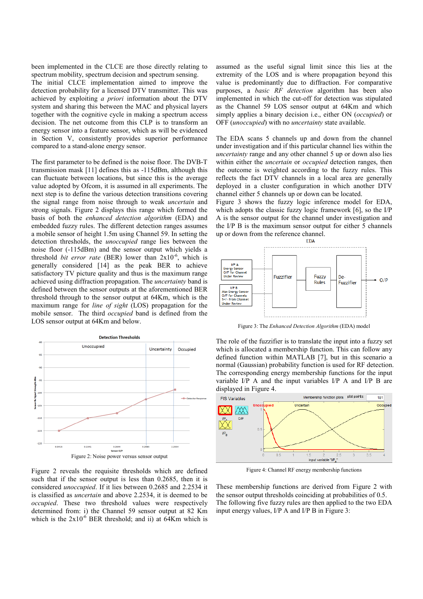been implemented in the CLCE are those directly relating to spectrum mobility, spectrum decision and spectrum sensing. The initial CLCE implementation aimed to improve the detection probability for a licensed DTV transmitter. This was achieved by exploiting a priori information about the DTV system and sharing this between the MAC and physical layers together with the cognitive cycle in making a spectrum access decision. The net outcome from this CLP is to transform an energy sensor into a feature sensor, which as will be evidenced in Section V, consistently provides superior performance compared to a stand-alone energy sensor.

The first parameter to be defined is the noise floor. The DVB-T transmission mask [11] defines this as -115dBm, although this can fluctuate between locations, but since this is the average value adopted by Ofcom, it is assumed in all experiments. The next step is to define the various detection transitions covering the signal range from noise through to weak uncertain and strong signals. Figure 2 displays this range which formed the basis of both the enhanced detection algorithm (EDA) and embedded fuzzy rules. The different detection ranges assumes a mobile sensor of height 1.5m using Channel 59. In setting the detection thresholds, the unoccupied range lies between the noise floor (-115dBm) and the sensor output which yields a threshold bit error rate (BER) lower than  $2x10^{-6}$ , which is generally considered [14] as the peak BER to achieve satisfactory TV picture quality and thus is the maximum range achieved using diffraction propagation. The uncertainty band is defined between the sensor outputs at the aforementioned BER threshold through to the sensor output at 64Km, which is the maximum range for line of sight (LOS) propagation for the mobile sensor. The third *occupied* band is defined from the LOS sensor output at 64Km and below.



Figure 2 reveals the requisite thresholds which are defined such that if the sensor output is less than 0.2685, then it is considered unoccupied. If it lies between 0.2685 and 2.2534 it is classified as uncertain and above 2.2534, it is deemed to be occupied. These two threshold values were respectively determined from: i) the Channel 59 sensor output at 82 Km which is the  $2x10^{-6}$  BER threshold; and ii) at 64Km which is

assumed as the useful signal limit since this lies at the extremity of the LOS and is where propagation beyond this value is predominantly due to diffraction. For comparative purposes, a *basic RF detection* algorithm has been also implemented in which the cut-off for detection was stipulated as the Channel 59 LOS sensor output at 64Km and which simply applies a binary decision i.e., either ON (occupied) or OFF (unoccupied) with no uncertainty state available.

The EDA scans 5 channels up and down from the channel under investigation and if this particular channel lies within the uncertainty range and any other channel 5 up or down also lies within either the *uncertain* or *occupied* detection ranges, then the outcome is weighted according to the fuzzy rules. This reflects the fact DTV channels in a local area are generally deployed in a cluster configuration in which another DTV channel either 5 channels up or down can be located.

Figure 3 shows the fuzzy logic inference model for EDA, which adopts the classic fuzzy logic framework [6], so the I/P A is the sensor output for the channel under investigation and the I/P B is the maximum sensor output for either 5 channels up or down from the reference channel.



Figure 3: The Enhanced Detection Algorithm (EDA) model

The role of the fuzzifier is to translate the input into a fuzzy set which is allocated a membership function. This can follow any defined function within MATLAB [7], but in this scenario a normal (Gaussian) probability function is used for RF detection. The corresponding energy membership functions for the input variable I/P A and the input variables I/P A and I/P B are displayed in Figure 4.



Figure 4: Channel RF energy membership functions

These membership functions are derived from Figure 2 with the sensor output thresholds coinciding at probabilities of 0.5. The following five fuzzy rules are then applied to the two EDA input energy values, I/P A and I/P B in Figure 3: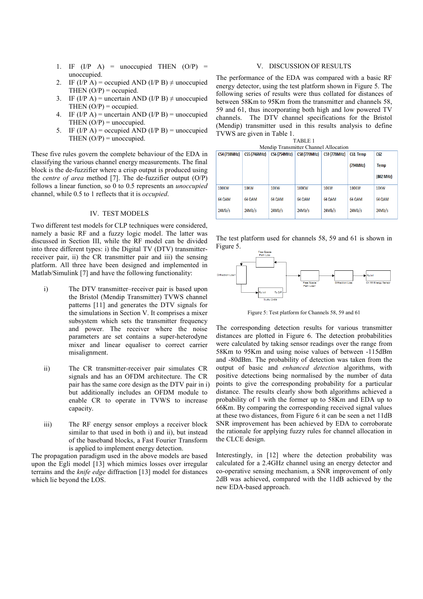- 1. IF  $(I/P \ A)$  = unoccupied THEN  $(O/P)$  = unoccupied.
- 2. IF (I/P A) = occupied AND (I/P B)  $\neq$  unoccupied THEN  $(O/P)$  = occupied.
- 3. IF (I/P A) = uncertain AND (I/P B)  $\neq$  unoccupied THEN  $(O/P)$  = occupied.
- 4. IF  $(I/P A)$  = uncertain AND  $(I/P B)$  = unoccupied THEN  $(O/P)$  = unoccupied.
- 5. IF  $(I/P A)$  = occupied AND  $(I/P B)$  = unoccupied THEN  $(O/P)$  = unoccupied.

These five rules govern the complete behaviour of the EDA in classifying the various channel energy measurements. The final block is the de-fuzzifier where a crisp output is produced using the *centre of area* method [7]. The de-fuzzifier output  $(O/P)$ follows a linear function, so 0 to 0.5 represents an unoccupied channel, while 0.5 to 1 reflects that it is occupied.

#### IV. TEST MODELS

Two different test models for CLP techniques were considered, namely a basic RF and a fuzzy logic model. The latter was discussed in Section III, while the RF model can be divided into three different types: i) the Digital TV (DTV) transmitterreceiver pair, ii) the CR transmitter pair and iii) the sensing platform. All three have been designed and implemented in Matlab/Simulink [7] and have the following functionality:

- i) The DTV transmitter–receiver pair is based upon the Bristol (Mendip Transmitter) TVWS channel patterns [11] and generates the DTV signals for the simulations in Section V. It comprises a mixer subsystem which sets the transmitter frequency and power. The receiver where the noise parameters are set contains a super-heterodyne mixer and linear equaliser to correct carrier misalignment.
- ii) The CR transmitter-receiver pair simulates CR signals and has an OFDM architecture. The CR pair has the same core design as the DTV pair in i) but additionally includes an OFDM module to enable CR to operate in TVWS to increase capacity.
- iii) The RF energy sensor employs a receiver block similar to that used in both i) and ii), but instead of the baseband blocks, a Fast Fourier Transform is applied to implement energy detection.

The propagation paradigm used in the above models are based upon the Egli model [13] which mimics losses over irregular terrains and the knife edge diffraction [13] model for distances which lie beyond the LOS.

## V. DISCUSSION OF RESULTS

The performance of the EDA was compared with a basic RF energy detector, using the test platform shown in Figure 5. The following series of results were thus collated for distances of between 58Km to 95Km from the transmitter and channels 58, 59 and 61, thus incorporating both high and low powered TV channels. The DTV channel specifications for the Bristol (Mendip) transmitter used in this results analysis to define TVWS are given in Table 1.

| TABLE 1                               |                     |               |                     |               |               |             |  |
|---------------------------------------|---------------------|---------------|---------------------|---------------|---------------|-------------|--|
| Mendip Transmitter Channel Allocation |                     |               |                     |               |               |             |  |
| C54 (738MHz)                          | <b>C55 (746MHz)</b> | C56 (754MHz)  | <b>C58 (770MHz)</b> | C59 (778MHz)  | C61 Temp      | C62         |  |
|                                       |                     |               |                     |               | (794MHz)      | <b>Temp</b> |  |
|                                       |                     |               |                     |               |               | (802 MHz)   |  |
| <b>100KW</b>                          | <b>10KW</b>         | <b>10KW</b>   | 100KW               | 10KW          | 100KW         | 10KW        |  |
| <b>64 QAM</b>                         | <b>64 QAM</b>       | <b>64 QAM</b> | <b>64 QAM</b>       | <b>64 QAM</b> | <b>64 QAM</b> | 64 QAM      |  |
| 24Mb/s                                | 24Mb/s              | 24Mb/s        | 24Mb/s              | 24Mb/s        | 24Mb/s        | 24Mb/s      |  |

The test platform used for channels 58, 59 and 61 is shown in Figure 5.



Figure 5: Test platform for Channels 58, 59 and 61

The corresponding detection results for various transmitter distances are plotted in Figure 6. The detection probabilities were calculated by taking sensor readings over the range from 58Km to 95Km and using noise values of between -115dBm and -80dBm. The probability of detection was taken from the output of basic and enhanced detection algorithms, with positive detections being normalised by the number of data points to give the corresponding probability for a particular distance. The results clearly show both algorithms achieved a probability of 1 with the former up to 58Km and EDA up to 66Km. By comparing the corresponding received signal values at these two distances, from Figure 6 it can be seen a net 11dB SNR improvement has been achieved by EDA to corroborate the rationale for applying fuzzy rules for channel allocation in the CLCE design.

Interestingly, in [12] where the detection probability was calculated for a 2.4GHz channel using an energy detector and co-operative sensing mechanism, a SNR improvement of only 2dB was achieved, compared with the 11dB achieved by the new EDA-based approach.